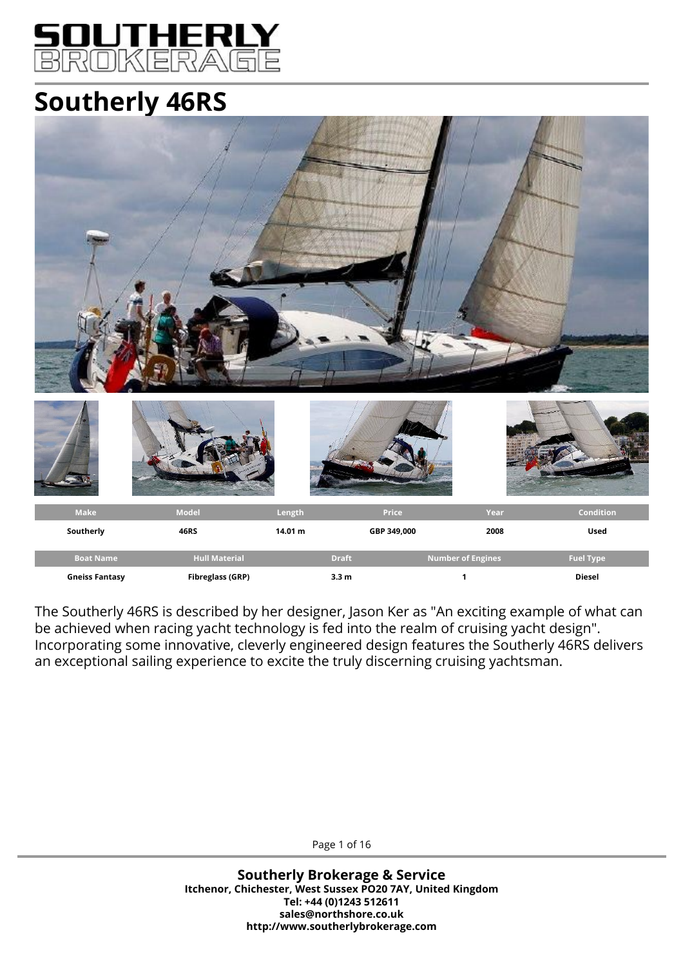

# **Southerly 46RS**



The Southerly 46RS is described by her designer, Jason Ker as "An exciting example of what can be achieved when racing yacht technology is fed into the realm of cruising yacht design". Incorporating some innovative, cleverly engineered design features the Southerly 46RS delivers an exceptional sailing experience to excite the truly discerning cruising yachtsman.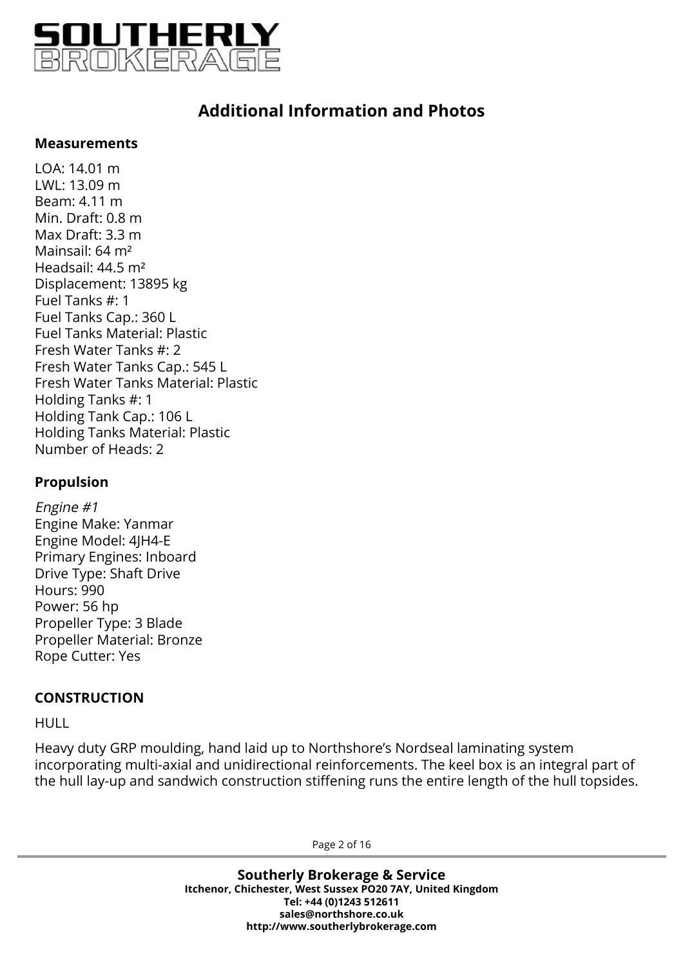

### **Measurements**

LOA: 14.01 m LWL: 13.09 m Beam: 4.11 m Min. Draft: 0.8 m Max Draft: 3.3 m Mainsail: 64 m² Headsail: 44.5 m² Displacement: 13895 kg Fuel Tanks #: 1 Fuel Tanks Cap.: 360 L Fuel Tanks Material: Plastic Fresh Water Tanks #: 2 Fresh Water Tanks Cap.: 545 L Fresh Water Tanks Material: Plastic Holding Tanks #: 1 Holding Tank Cap.: 106 L Holding Tanks Material: Plastic Number of Heads: 2

### **Propulsion**

Engine #1 Engine Make: Yanmar Engine Model: 4JH4-E Primary Engines: Inboard Drive Type: Shaft Drive Hours: 990 Power: 56 hp Propeller Type: 3 Blade Propeller Material: Bronze Rope Cutter: Yes

### **CONSTRUCTION**

HULL

Heavy duty GRP moulding, hand laid up to Northshore's Nordseal laminating system incorporating multi-axial and unidirectional reinforcements. The keel box is an integral part of the hull lay-up and sandwich construction stiffening runs the entire length of the hull topsides.

Page 2 of 16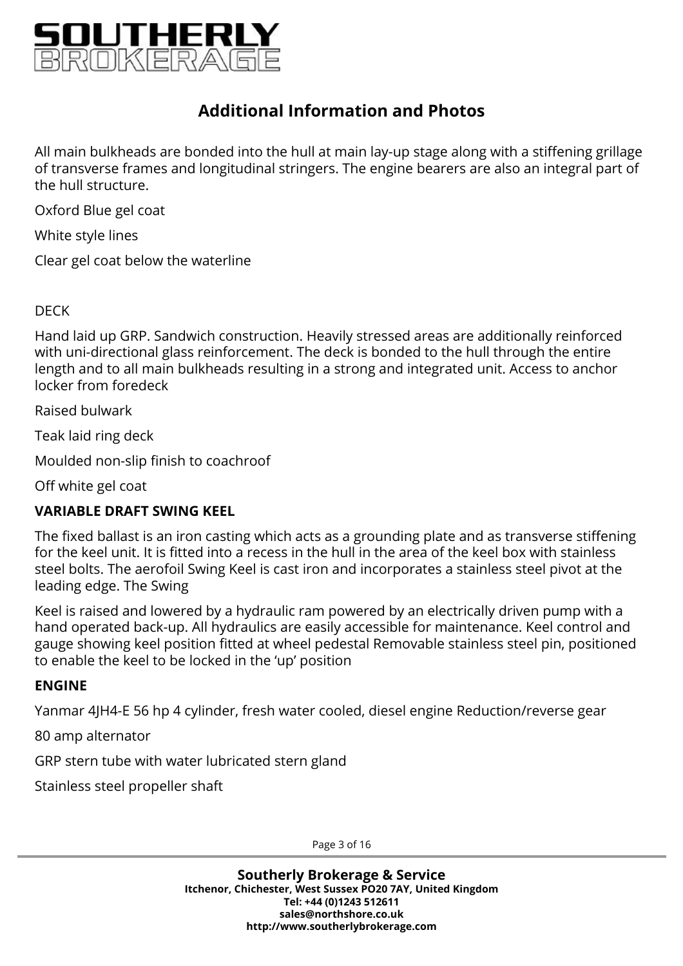

All main bulkheads are bonded into the hull at main lay-up stage along with a stiffening grillage of transverse frames and longitudinal stringers. The engine bearers are also an integral part of the hull structure.

Oxford Blue gel coat

White style lines

Clear gel coat below the waterline

### DECK

Hand laid up GRP. Sandwich construction. Heavily stressed areas are additionally reinforced with uni-directional glass reinforcement. The deck is bonded to the hull through the entire length and to all main bulkheads resulting in a strong and integrated unit. Access to anchor locker from foredeck

Raised bulwark

Teak laid ring deck

Moulded non-slip finish to coachroof

Off white gel coat

### **VARIABLE DRAFT SWING KEEL**

The fixed ballast is an iron casting which acts as a grounding plate and as transverse stiffening for the keel unit. It is fitted into a recess in the hull in the area of the keel box with stainless steel bolts. The aerofoil Swing Keel is cast iron and incorporates a stainless steel pivot at the leading edge. The Swing

Keel is raised and lowered by a hydraulic ram powered by an electrically driven pump with a hand operated back-up. All hydraulics are easily accessible for maintenance. Keel control and gauge showing keel position fitted at wheel pedestal Removable stainless steel pin, positioned to enable the keel to be locked in the 'up' position

### **ENGINE**

Yanmar 4JH4-E 56 hp 4 cylinder, fresh water cooled, diesel engine Reduction/reverse gear

80 amp alternator

GRP stern tube with water lubricated stern gland

Stainless steel propeller shaft

Page 3 of 16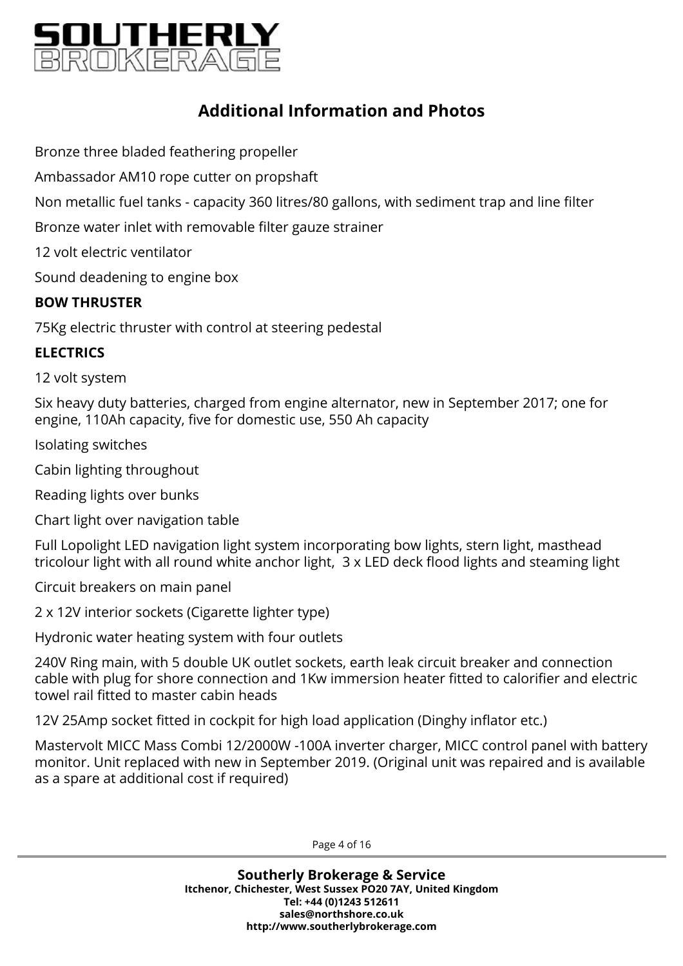

Bronze three bladed feathering propeller

Ambassador AM10 rope cutter on propshaft

Non metallic fuel tanks - capacity 360 litres/80 gallons, with sediment trap and line filter

Bronze water inlet with removable filter gauze strainer

12 volt electric ventilator

Sound deadening to engine box

### **BOW THRUSTER**

75Kg electric thruster with control at steering pedestal

### **ELECTRICS**

12 volt system

Six heavy duty batteries, charged from engine alternator, new in September 2017; one for engine, 110Ah capacity, five for domestic use, 550 Ah capacity

Isolating switches

Cabin lighting throughout

Reading lights over bunks

Chart light over navigation table

Full Lopolight LED navigation light system incorporating bow lights, stern light, masthead tricolour light with all round white anchor light, 3 x LED deck flood lights and steaming light

Circuit breakers on main panel

2 x 12V interior sockets (Cigarette lighter type)

Hydronic water heating system with four outlets

240V Ring main, with 5 double UK outlet sockets, earth leak circuit breaker and connection cable with plug for shore connection and 1Kw immersion heater fitted to calorifier and electric towel rail fitted to master cabin heads

12V 25Amp socket fitted in cockpit for high load application (Dinghy inflator etc.)

Mastervolt MICC Mass Combi 12/2000W -100A inverter charger, MICC control panel with battery monitor. Unit replaced with new in September 2019. (Original unit was repaired and is available as a spare at additional cost if required)

Page 4 of 16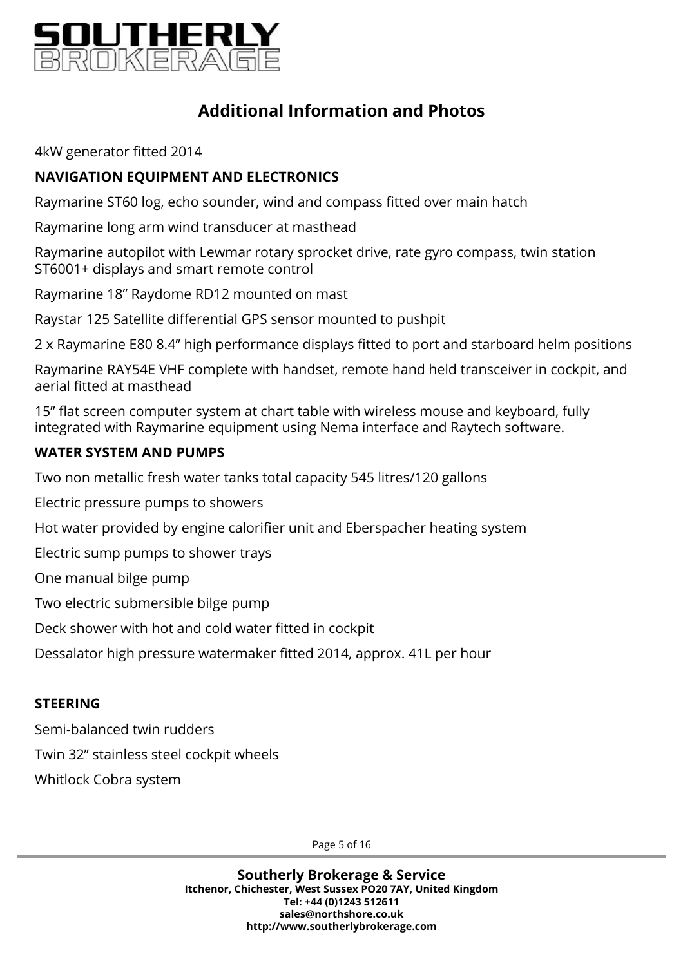

4kW generator fitted 2014

### **NAVIGATION EQUIPMENT AND ELECTRONICS**

Raymarine ST60 log, echo sounder, wind and compass fitted over main hatch

Raymarine long arm wind transducer at masthead

Raymarine autopilot with Lewmar rotary sprocket drive, rate gyro compass, twin station ST6001+ displays and smart remote control

Raymarine 18" Raydome RD12 mounted on mast

Raystar 125 Satellite differential GPS sensor mounted to pushpit

2 x Raymarine E80 8.4" high performance displays fitted to port and starboard helm positions

Raymarine RAY54E VHF complete with handset, remote hand held transceiver in cockpit, and aerial fitted at masthead

15" flat screen computer system at chart table with wireless mouse and keyboard, fully integrated with Raymarine equipment using Nema interface and Raytech software.

### **WATER SYSTEM AND PUMPS**

Two non metallic fresh water tanks total capacity 545 litres/120 gallons

Electric pressure pumps to showers

Hot water provided by engine calorifier unit and Eberspacher heating system

Electric sump pumps to shower trays

One manual bilge pump

Two electric submersible bilge pump

Deck shower with hot and cold water fitted in cockpit

Dessalator high pressure watermaker fitted 2014, approx. 41L per hour

### **STEERING**

Semi-balanced twin rudders

Twin 32'' stainless steel cockpit wheels

Whitlock Cobra system

Page 5 of 16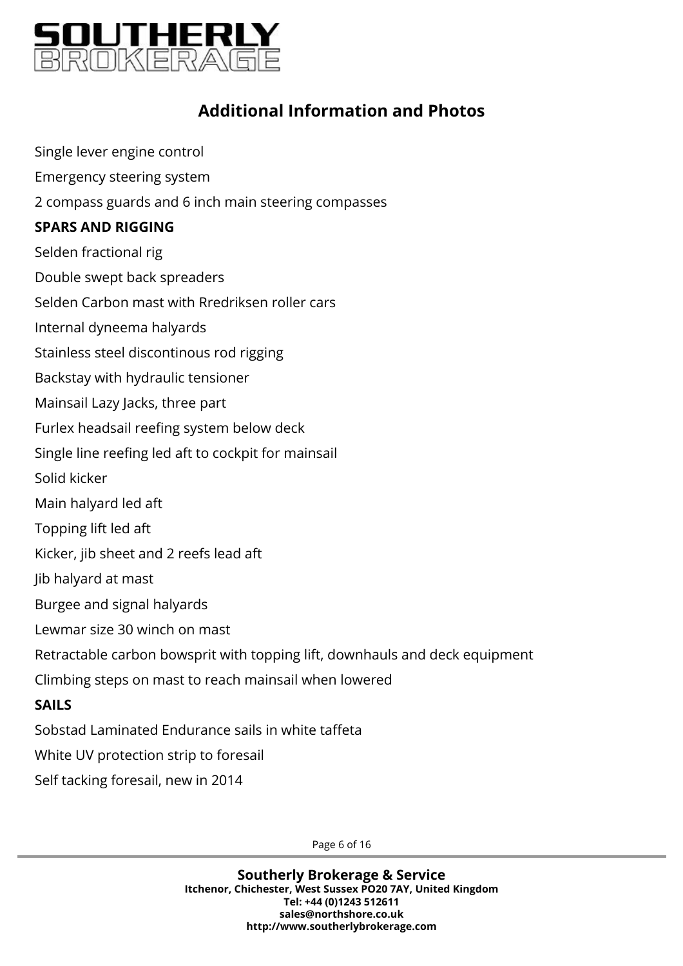

Single lever engine control Emergency steering system

2 compass guards and 6 inch main steering compasses

### **SPARS AND RIGGING**

Selden fractional rig

Double swept back spreaders

Selden Carbon mast with Rredriksen roller cars

Internal dyneema halyards

Stainless steel discontinous rod rigging

Backstay with hydraulic tensioner

Mainsail Lazy Jacks, three part

Furlex headsail reefing system below deck

Single line reefing led aft to cockpit for mainsail

Solid kicker

Main halyard led aft

Topping lift led aft

Kicker, jib sheet and 2 reefs lead aft

Jib halyard at mast

Burgee and signal halyards

Lewmar size 30 winch on mast

Retractable carbon bowsprit with topping lift, downhauls and deck equipment

Climbing steps on mast to reach mainsail when lowered

### **SAILS**

Sobstad Laminated Endurance sails in white taffeta

White UV protection strip to foresail

Self tacking foresail, new in 2014

Page 6 of 16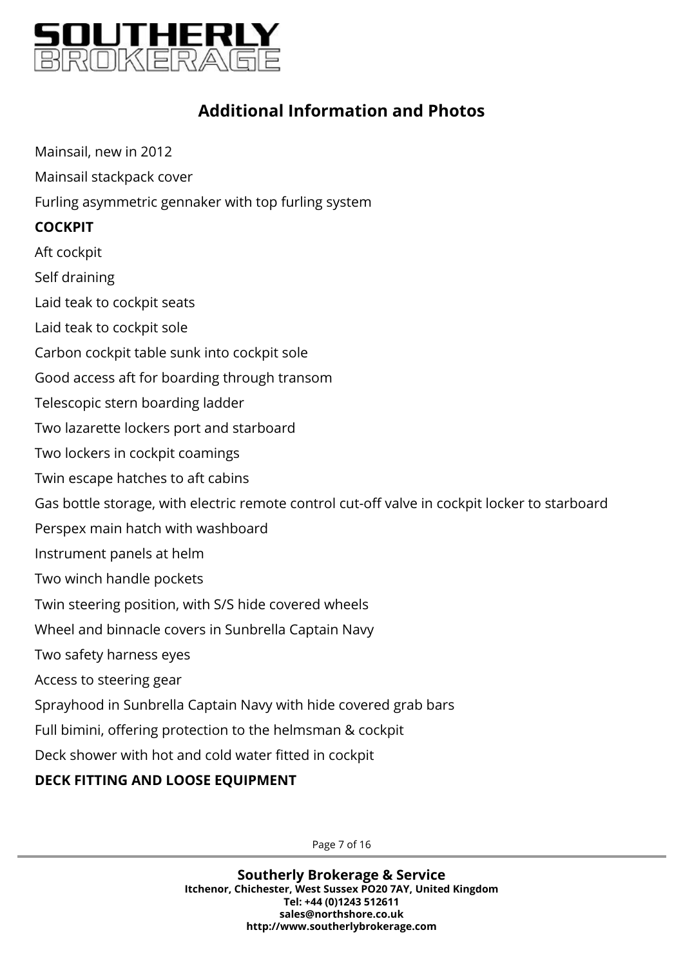

Mainsail, new in 2012 Mainsail stackpack cover Furling asymmetric gennaker with top furling system **COCKPIT** Aft cockpit Self draining Laid teak to cockpit seats Laid teak to cockpit sole Carbon cockpit table sunk into cockpit sole Good access aft for boarding through transom Telescopic stern boarding ladder Two lazarette lockers port and starboard Two lockers in cockpit coamings Twin escape hatches to aft cabins Gas bottle storage, with electric remote control cut-off valve in cockpit locker to starboard Perspex main hatch with washboard Instrument panels at helm Two winch handle pockets Twin steering position, with S/S hide covered wheels Wheel and binnacle covers in Sunbrella Captain Navy Two safety harness eyes Access to steering gear Sprayhood in Sunbrella Captain Navy with hide covered grab bars Full bimini, offering protection to the helmsman & cockpit Deck shower with hot and cold water fitted in cockpit

### **DECK FITTING AND LOOSE EQUIPMENT**

Page 7 of 16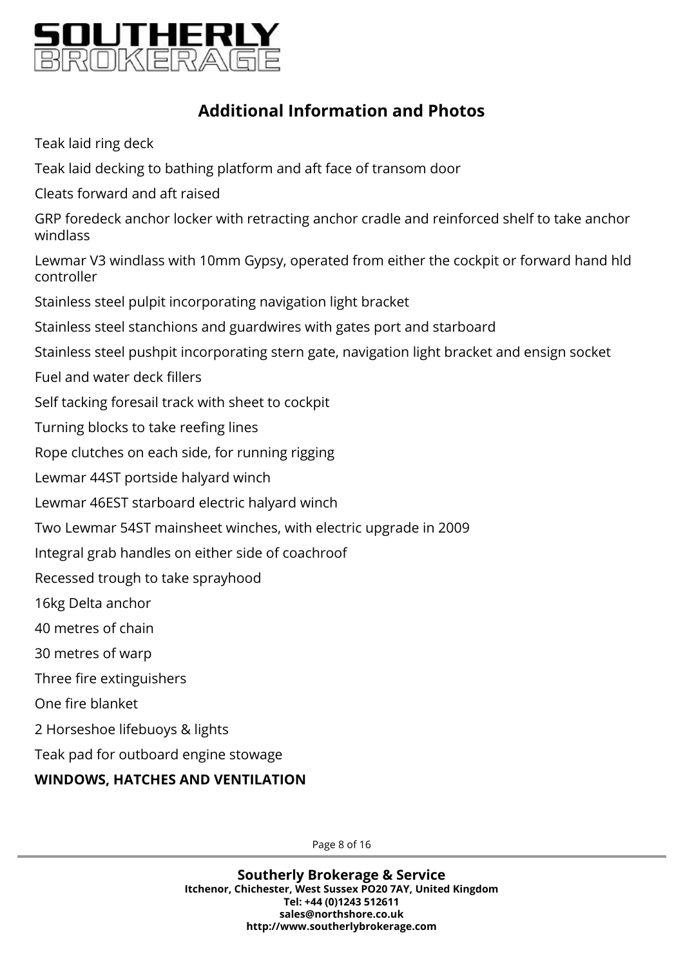

Teak laid ring deck

Teak laid decking to bathing platform and aft face of transom door

Cleats forward and aft raised

GRP foredeck anchor locker with retracting anchor cradle and reinforced shelf to take anchor windlass

Lewmar V3 windlass with 10mm Gypsy, operated from either the cockpit or forward hand hld controller

Stainless steel pulpit incorporating navigation light bracket

Stainless steel stanchions and guardwires with gates port and starboard

Stainless steel pushpit incorporating stern gate, navigation light bracket and ensign socket

Fuel and water deck fillers

Self tacking foresail track with sheet to cockpit

Turning blocks to take reefing lines

Rope clutches on each side, for running rigging

Lewmar 44ST portside halyard winch

Lewmar 46EST starboard electric halyard winch

Two Lewmar 54ST mainsheet winches, with electric upgrade in 2009

Integral grab handles on either side of coachroof

Recessed trough to take sprayhood

16kg Delta anchor

40 metres of chain

30 metres of warp

Three fire extinguishers

One fire blanket

2 Horseshoe lifebuoys & lights

Teak pad for outboard engine stowage

### **WINDOWS, HATCHES AND VENTILATION**

Page 8 of 16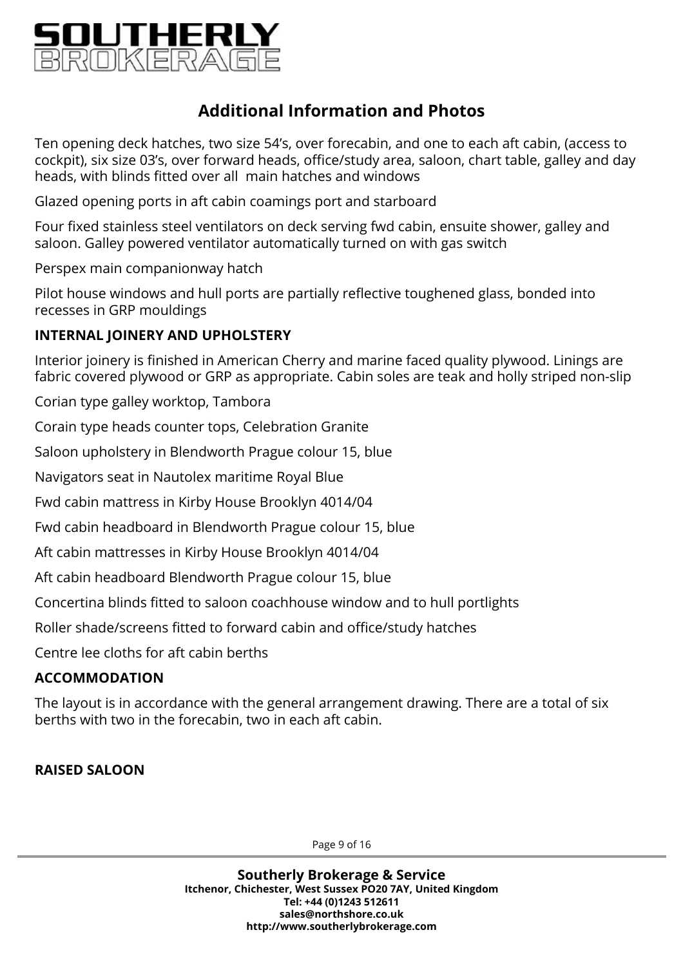

Ten opening deck hatches, two size 54's, over forecabin, and one to each aft cabin, (access to cockpit), six size 03's, over forward heads, office/study area, saloon, chart table, galley and day heads, with blinds fitted over all main hatches and windows

Glazed opening ports in aft cabin coamings port and starboard

Four fixed stainless steel ventilators on deck serving fwd cabin, ensuite shower, galley and saloon. Galley powered ventilator automatically turned on with gas switch

Perspex main companionway hatch

Pilot house windows and hull ports are partially reflective toughened glass, bonded into recesses in GRP mouldings

### **INTERNAL JOINERY AND UPHOLSTERY**

Interior joinery is finished in American Cherry and marine faced quality plywood. Linings are fabric covered plywood or GRP as appropriate. Cabin soles are teak and holly striped non-slip

Corian type galley worktop, Tambora

Corain type heads counter tops, Celebration Granite

Saloon upholstery in Blendworth Prague colour 15, blue

Navigators seat in Nautolex maritime Royal Blue

Fwd cabin mattress in Kirby House Brooklyn 4014/04

Fwd cabin headboard in Blendworth Prague colour 15, blue

Aft cabin mattresses in Kirby House Brooklyn 4014/04

Aft cabin headboard Blendworth Prague colour 15, blue

Concertina blinds fitted to saloon coachhouse window and to hull portlights

Roller shade/screens fitted to forward cabin and office/study hatches

Centre lee cloths for aft cabin berths

### **ACCOMMODATION**

The layout is in accordance with the general arrangement drawing. There are a total of six berths with two in the forecabin, two in each aft cabin.

### **RAISED SALOON**

Page 9 of 16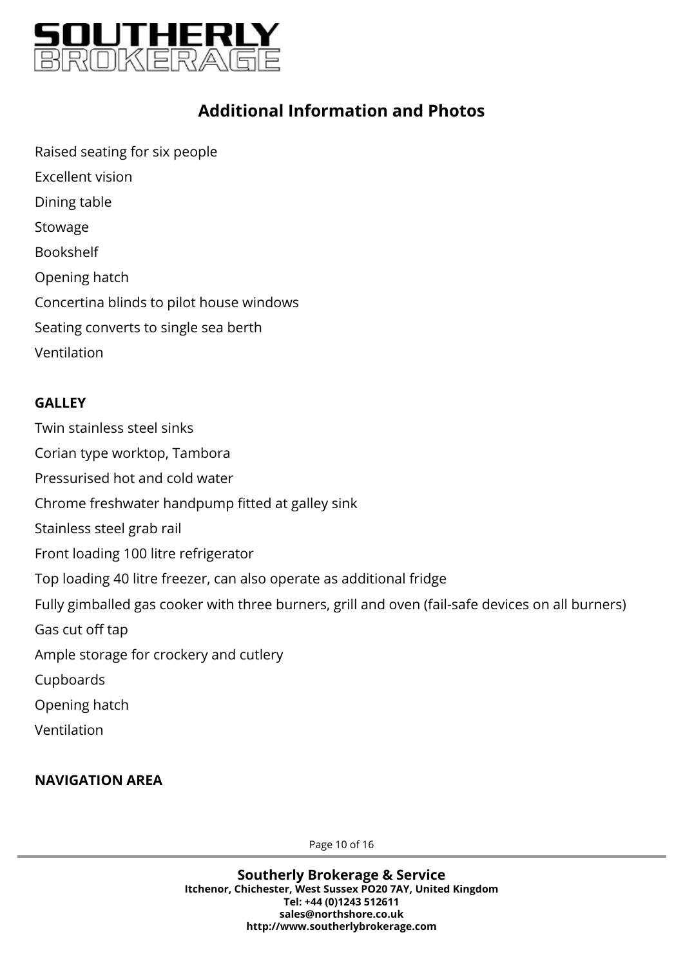

Raised seating for six people Excellent vision Dining table Stowage Bookshelf Opening hatch Concertina blinds to pilot house windows Seating converts to single sea berth Ventilation

### **GALLEY**

Twin stainless steel sinks Corian type worktop, Tambora Pressurised hot and cold water Chrome freshwater handpump fitted at galley sink Stainless steel grab rail Front loading 100 litre refrigerator Top loading 40 litre freezer, can also operate as additional fridge Fully gimballed gas cooker with three burners, grill and oven (fail-safe devices on all burners) Gas cut off tap Ample storage for crockery and cutlery Cupboards Opening hatch Ventilation

### **NAVIGATION AREA**

Page 10 of 16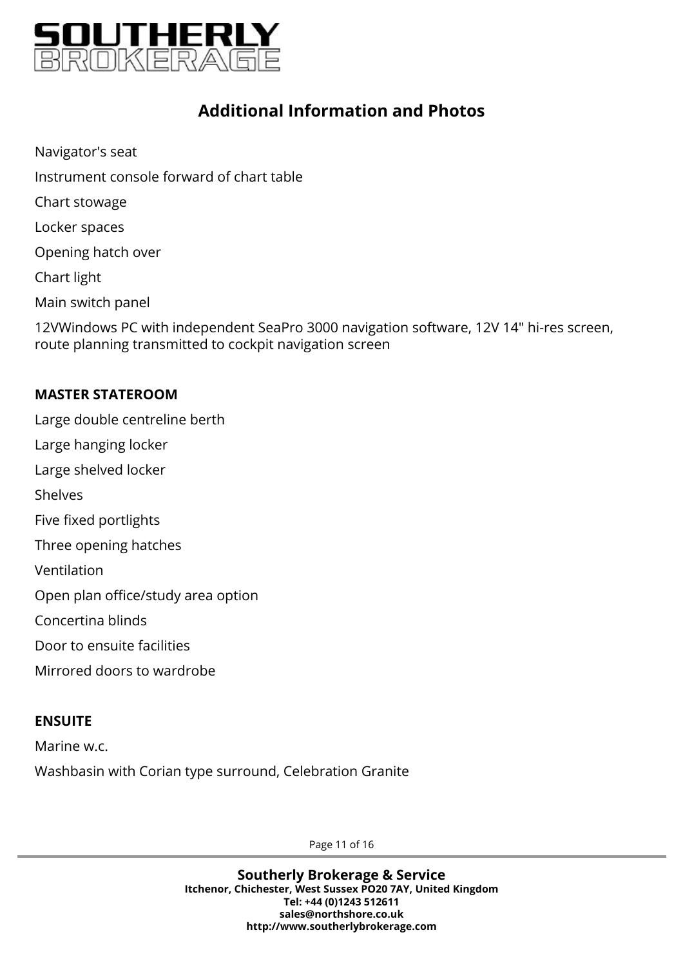

Navigator's seat Instrument console forward of chart table Chart stowage Locker spaces Opening hatch over Chart light Main switch panel 12VWindows PC with independent SeaPro 3000 navigation software, 12V 14" hi-res screen, route planning transmitted to cockpit navigation screen

### **MASTER STATEROOM**

Large double centreline berth Large hanging locker Large shelved locker Shelves Five fixed portlights Three opening hatches Ventilation Open plan office/study area option Concertina blinds Door to ensuite facilities Mirrored doors to wardrobe

### **ENSUITE**

Marine w.c.

Washbasin with Corian type surround, Celebration Granite

Page 11 of 16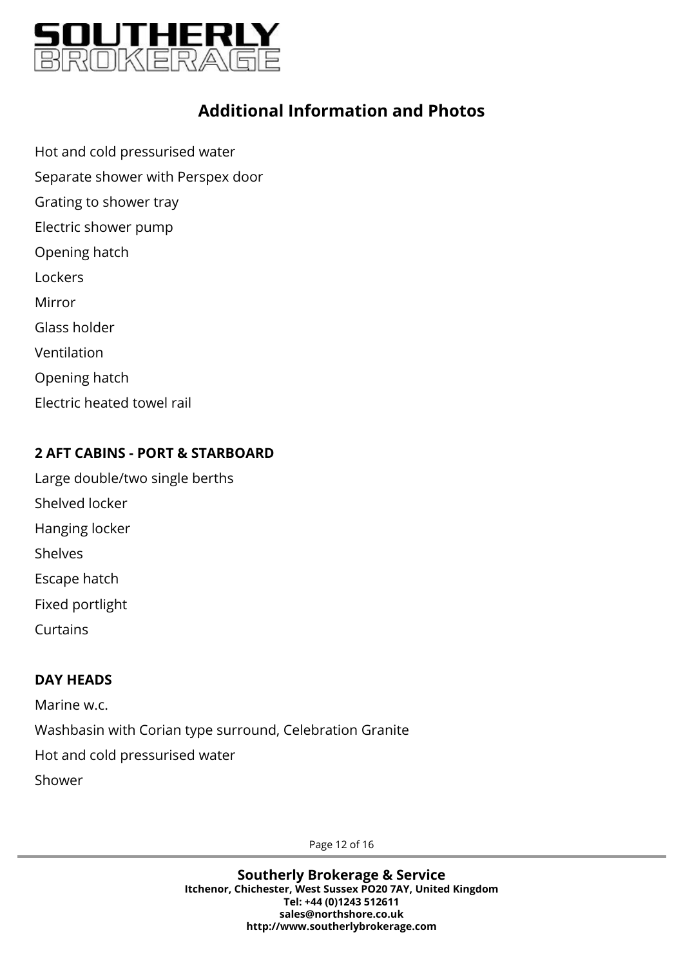

Hot and cold pressurised water Separate shower with Perspex door Grating to shower tray Electric shower pump Opening hatch **Lockers** Mirror Glass holder Ventilation Opening hatch Electric heated towel rail

### **2 AFT CABINS - PORT & STARBOARD**

Large double/two single berths Shelved locker Hanging locker Shelves Escape hatch Fixed portlight Curtains

### **DAY HEADS**

Marine w.c. Washbasin with Corian type surround, Celebration Granite Hot and cold pressurised water Shower

Page 12 of 16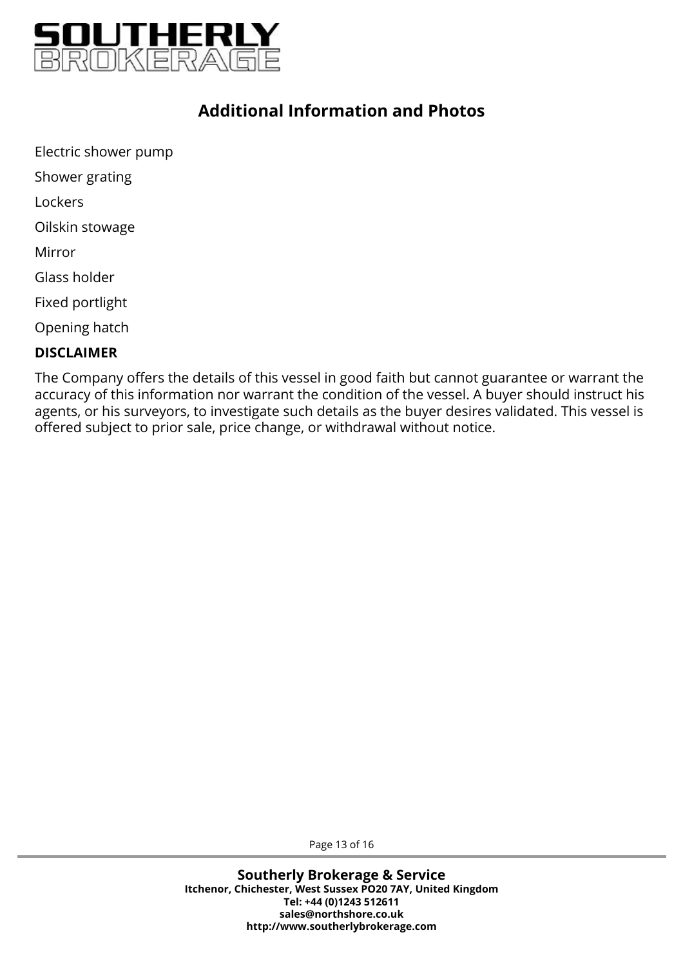

Electric shower pump Shower grating Lockers Oilskin stowage Mirror Glass holder Fixed portlight Opening hatch

### **DISCLAIMER**

The Company offers the details of this vessel in good faith but cannot guarantee or warrant the accuracy of this information nor warrant the condition of the vessel. A buyer should instruct his agents, or his surveyors, to investigate such details as the buyer desires validated. This vessel is offered subject to prior sale, price change, or withdrawal without notice.

Page 13 of 16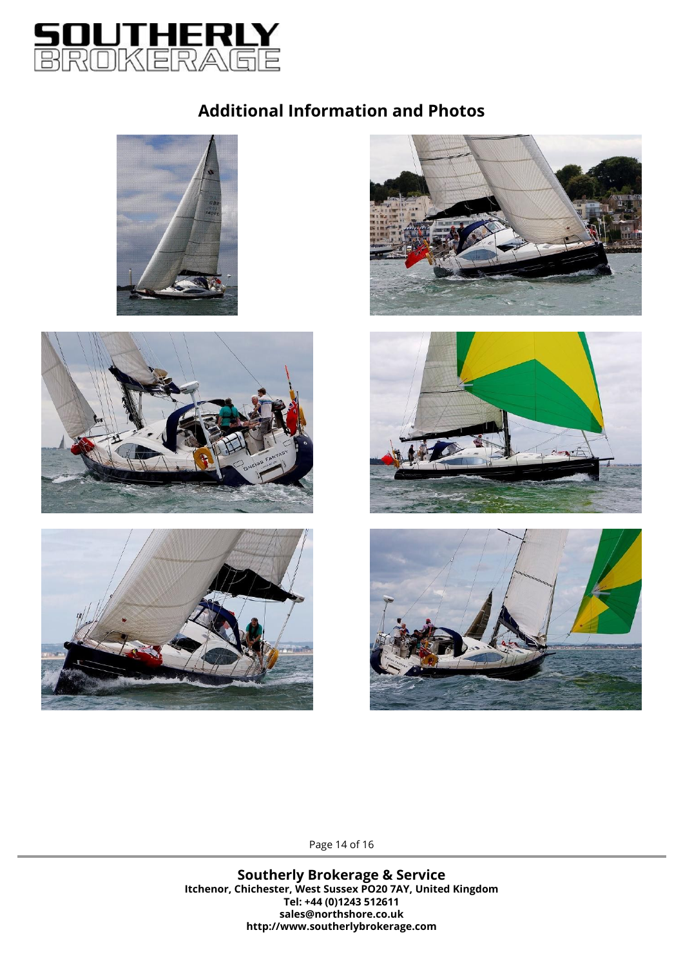













Page 14 of 16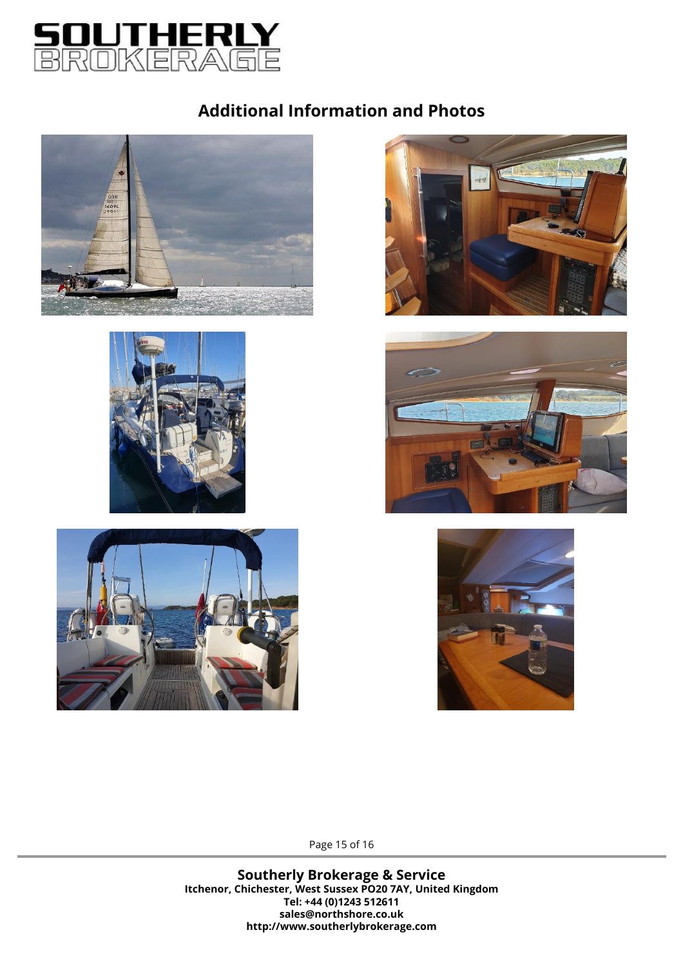













Page 15 of 16